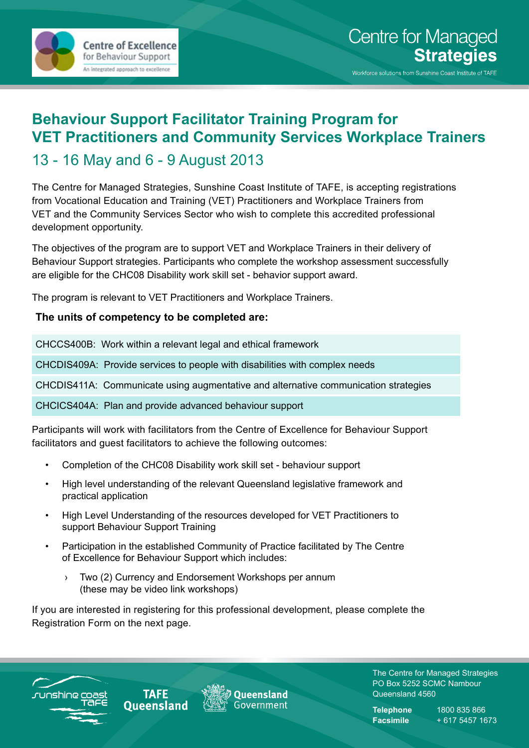

## **Behaviour Support Facilitator Training Program for VET Practitioners and Community Services Workplace Trainers** 13 - 16 May and 6 - 9 August 2013

The Centre for Managed Strategies, Sunshine Coast Institute of TAFE, is accepting registrations from Vocational Education and Training (VET) Practitioners and Workplace Trainers from VET and the Community Services Sector who wish to complete this accredited professional development opportunity.

The objectives of the program are to support VET and Workplace Trainers in their delivery of Behaviour Support strategies. Participants who complete the workshop assessment successfully are eligible for the CHC08 Disability work skill set - behavior support award.

The program is relevant to VET Practitioners and Workplace Trainers.

#### **The units of competency to be completed are:**

CHCCS400B: Work within a relevant legal and ethical framework

CHCDIS409A: Provide services to people with disabilities with complex needs

CHCDIS411A: Communicate using augmentative and alternative communication strategies

CHCICS404A: Plan and provide advanced behaviour support

Participants will work with facilitators from the Centre of Excellence for Behaviour Support facilitators and guest facilitators to achieve the following outcomes:

- • Completion of the CHC08 Disability work skill set behaviour support
- High level understanding of the relevant Queensland legislative framework and practical application
- High Level Understanding of the resources developed for VET Practitioners to support Behaviour Support Training
- Participation in the established Community of Practice facilitated by The Centre of Excellence for Behaviour Support which includes:
	- › Two (2) Currency and Endorsement Workshops per annum (these may be video link workshops)

If you are interested in registering for this professional development, please complete the Registration Form on the next page.



**TAFE Oueensland** 



The Centre for Managed Strategies PO Box 5252 SCMC Nambour Queensland 4560

**Telephone** 1800 835 866 **Facsimile** + 617 5457 1673